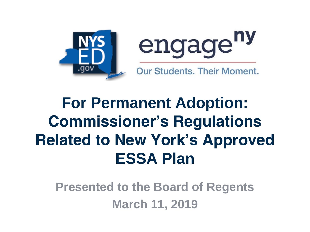



**Our Students. Their Moment.** 

#### **For Permanent Adoption: Commissioner's Regulations Related to New York's Approved ESSA Plan**

**Presented to the Board of Regents March 11, 2019**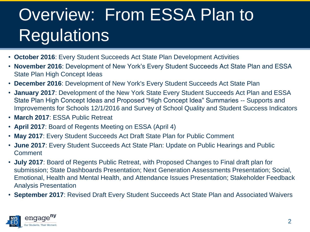## Overview: From ESSA Plan to **Regulations**

- **October 2016**: Every Student Succeeds Act State Plan Development Activities
- **November 2016**: Development of New York's Every Student Succeeds Act State Plan and ESSA State Plan High Concept Ideas
- **December 2016**: Development of New York's Every Student Succeeds Act State Plan
- **January 2017**: Development of the New York State Every Student Succeeds Act Plan and ESSA State Plan High Concept Ideas and Proposed "High Concept Idea" Summaries -- Supports and Improvements for Schools 12/1/2016 and Survey of School Quality and Student Success Indicators
- **March 2017**: ESSA Public Retreat
- **April 2017**: Board of Regents Meeting on ESSA (April 4)
- **May 2017**: Every Student Succeeds Act Draft State Plan for Public Comment
- **June 2017**: Every Student Succeeds Act State Plan: Update on Public Hearings and Public **Comment**
- **July 2017**: Board of Regents Public Retreat, with Proposed Changes to Final draft plan for submission; State Dashboards Presentation; Next Generation Assessments Presentation; Social, Emotional, Health and Mental Health, and Attendance Issues Presentation; Stakeholder Feedback Analysis Presentation
- **September 2017**: Revised Draft Every Student Succeeds Act State Plan and Associated Waivers

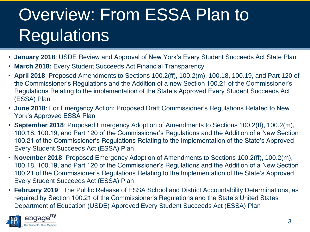# Overview: From ESSA Plan to **Regulations**

- **January 2018**: USDE Review and Approval of New York's Every Student Succeeds Act State Plan
- **March 2018:** Every Student Succeeds Act Financial Transparency
- **April 2018**: Proposed Amendments to Sections 100.2(ff), 100.2(m), 100.18, 100.19, and Part 120 of the Commissioner's Regulations and the Addition of a new Section 100.21 of the Commissioner's Regulations Relating to the implementation of the State's Approved Every Student Succeeds Act (ESSA) Plan
- **June 2018**: For Emergency Action: Proposed Draft Commissioner's Regulations Related to New York's Approved ESSA Plan
- **September 2018**: Proposed Emergency Adoption of Amendments to Sections 100.2(ff), 100.2(m), 100.18, 100.19, and Part 120 of the Commissioner's Regulations and the Addition of a New Section 100.21 of the Commissioner's Regulations Relating to the Implementation of the State's Approved Every Student Succeeds Act (ESSA) Plan
- **November 2018**: Proposed Emergency Adoption of Amendments to Sections 100.2(ff), 100.2(m), 100.18, 100.19, and Part 120 of the Commissioner's Regulations and the Addition of a New Section 100.21 of the Commissioner's Regulations Relating to the Implementation of the State's Approved Every Student Succeeds Act (ESSA) Plan
- **February 2019**: The Public Release of ESSA School and District Accountability Determinations, as required by Section 100.21 of the Commissioner's Regulations and the State's United States Department of Education (USDE) Approved Every Student Succeeds Act (ESSA) Plan

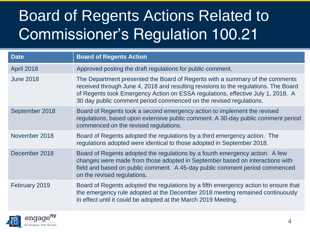#### Board of Regents Actions Related to Commissioner's Regulation 100.21

| <b>Date</b>       | <b>Board of Regents Action</b>                                                                                                                                                                                                                                                                                               |
|-------------------|------------------------------------------------------------------------------------------------------------------------------------------------------------------------------------------------------------------------------------------------------------------------------------------------------------------------------|
| <b>April 2018</b> | Approved posting the draft regulations for public comment.                                                                                                                                                                                                                                                                   |
| <b>June 2018</b>  | The Department presented the Board of Regents with a summary of the comments<br>received through June 4, 2018 and resulting revisions to the regulations. The Board<br>of Regents took Emergency Action on ESSA regulations, effective July 1, 2018. A<br>30 day public comment period commenced on the revised regulations. |
| September 2018    | Board of Regents took a second emergency action to implement the revised<br>regulations, based upon extensive public comment. A 30-day public comment period<br>commenced on the revised regulations.                                                                                                                        |
| November 2018     | Board of Regents adopted the regulations by a third emergency action. The<br>regulations adopted were identical to those adopted in September 2018.                                                                                                                                                                          |
| December 2018     | Board of Regents adopted the regulations by a fourth emergency action. A few<br>changes were made from those adopted in September based on interactions with<br>field and based on public comment. A 45-day public comment period commenced<br>on the revised regulations.                                                   |
| February 2019     | Board of Regents adopted the regulations by a fifth emergency action to ensure that<br>the emergency rule adopted at the December 2018 meeting remained continuously<br>in effect until it could be adopted at the March 2019 Meeting.                                                                                       |

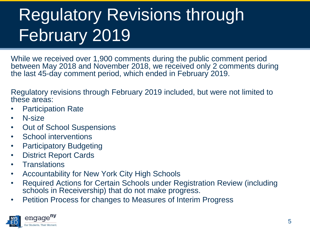# Regulatory Revisions through February 2019

While we received over 1,900 comments during the public comment period between May 2018 and November 2018, we received only 2 comments during the last 45-day comment period, which ended in February 2019.

Regulatory revisions through February 2019 included, but were not limited to these areas:

- Participation Rate
- N-size
- Out of School Suspensions
- School interventions
- Participatory Budgeting
- District Report Cards
- **Translations**
- Accountability for New York City High Schools
- Required Actions for Certain Schools under Registration Review (including schools in Receivership) that do not make progress.
- Petition Process for changes to Measures of Interim Progress

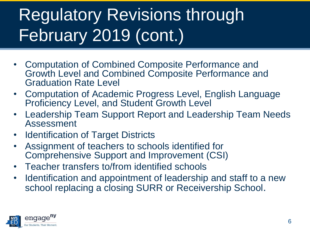# Regulatory Revisions through February 2019 (cont.)

- Computation of Combined Composite Performance and Growth Level and Combined Composite Performance and Graduation Rate Level
- Computation of Academic Progress Level, English Language Proficiency Level, and Student Growth Level
- Leadership Team Support Report and Leadership Team Needs Assessment
- Identification of Target Districts
- Assignment of teachers to schools identified for Comprehensive Support and Improvement (CSI)
- Teacher transfers to/from identified schools
- Identification and appointment of leadership and staff to a new school replacing a closing SURR or Receivership School.

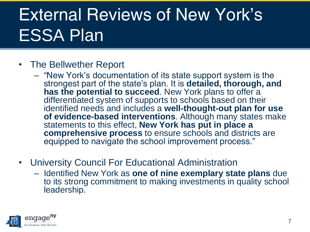## External Reviews of New York's ESSA Plan

#### • The Bellwether Report

- "New York's documentation of its state support system is the strongest part of the state's plan. It is **detailed, thorough, and has the potential to succeed**. New York plans to offer a differentiated system of supports to schools based on their identified needs and includes a **well-thought-out plan for use of evidence-based interventions**. Although many states make statements to this effect, **New York has put in place a comprehensive process** to ensure schools and districts are equipped to navigate the school improvement process."
- University Council For Educational Administration
	- Identified New York as **one of nine exemplary state plans** due to its strong commitment to making investments in quality school leadership.

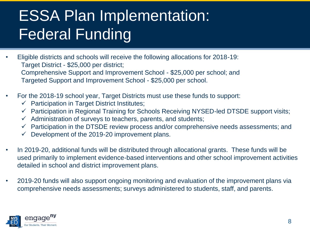#### ESSA Plan Implementation: Federal Funding

- Eligible districts and schools will receive the following allocations for 2018-19: Target District - \$25,000 per district; Comprehensive Support and Improvement School - \$25,000 per school; and Targeted Support and Improvement School - \$25,000 per school.
- For the 2018-19 school year, Target Districts must use these funds to support:
	- $\checkmark$  Participation in Target District Institutes;
	- ✓ Participation in Regional Training for Schools Receiving NYSED-led DTSDE support visits;
	- $\checkmark$  Administration of surveys to teachers, parents, and students;
	- $\checkmark$  Participation in the DTSDE review process and/or comprehensive needs assessments; and
	- $\checkmark$  Development of the 2019-20 improvement plans.
- In 2019-20, additional funds will be distributed through allocational grants. These funds will be used primarily to implement evidence-based interventions and other school improvement activities detailed in school and district improvement plans.
- 2019-20 funds will also support ongoing monitoring and evaluation of the improvement plans via comprehensive needs assessments; surveys administered to students, staff, and parents.

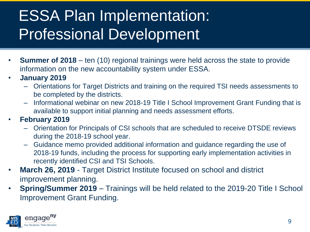#### ESSA Plan Implementation: Professional Development

- **Summer of 2018** ten (10) regional trainings were held across the state to provide information on the new accountability system under ESSA.
- **January 2019** 
	- Orientations for Target Districts and training on the required TSI needs assessments to be completed by the districts.
	- Informational webinar on new 2018-19 Title I School Improvement Grant Funding that is available to support initial planning and needs assessment efforts.
- **February 2019** 
	- Orientation for Principals of CSI schools that are scheduled to receive DTSDE reviews during the 2018-19 school year.
	- Guidance memo provided additional information and guidance regarding the use of 2018-19 funds, including the process for supporting early implementation activities in recently identified CSI and TSI Schools.
- **March 26, 2019**  Target District Institute focused on school and district improvement planning.
- **Spring/Summer 2019**  Trainings will be held related to the 2019-20 Title I School Improvement Grant Funding.